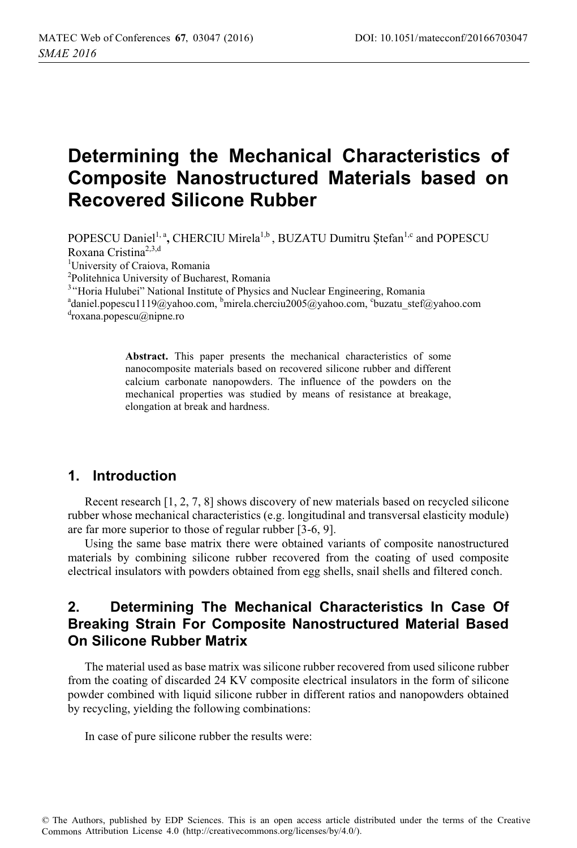# **Determining the Mechanical Characteristics of Composite Nanostructured Materials based on Recovered Silicone Rubber**

POPESCU Daniel<sup>1, a</sup>, CHERCIU Mirela<sup>1,b</sup>, BUZATU Dumitru Ștefan<sup>1,c</sup> and POPESCU Roxana Cristina2,3,d

1 University of Craiova, Romania

2 Politehnica University of Bucharest, Romania

<sup>3</sup> Horia Hulubei" National Institute of Physics and Nuclear Engineering, Romania<br><sup>a</sup>donial nonescul 110@vaboo.com <sup>b</sup>mirals cherciu 2005@vaboo.com <sup>c</sup>huzatu, stefa

<sup>a</sup>daniel.popescu1119@yahoo.com, <sup>b</sup>mirela.cherciu2005@yahoo.com, °buzatu\_stef@yahoo.com<br><sup>d</sup>roxana popescu@nippe.ro roxana.popescu@nipne.ro

> **Abstract.** This paper presents the mechanical characteristics of some nanocomposite materials based on recovered silicone rubber and different calcium carbonate nanopowders. The influence of the powders on the mechanical properties was studied by means of resistance at breakage, elongation at break and hardness.

# **1. Introduction**

Recent research [1, 2, 7, 8] shows discovery of new materials based on recycled silicone rubber whose mechanical characteristics (e.g. longitudinal and transversal elasticity module) are far more superior to those of regular rubber [3-6, 9].

Using the same base matrix there were obtained variants of composite nanostructured materials by combining silicone rubber recovered from the coating of used composite electrical insulators with powders obtained from egg shells, snail shells and filtered conch.

# **2. Determining The Mechanical Characteristics In Case Of Breaking Strain For Composite Nanostructured Material Based On Silicone Rubber Matrix**

The material used as base matrix was silicone rubber recovered from used silicone rubber from the coating of discarded 24 KV composite electrical insulators in the form of silicone powder combined with liquid silicone rubber in different ratios and nanopowders obtained by recycling, yielding the following combinations:

In case of pure silicone rubber the results were: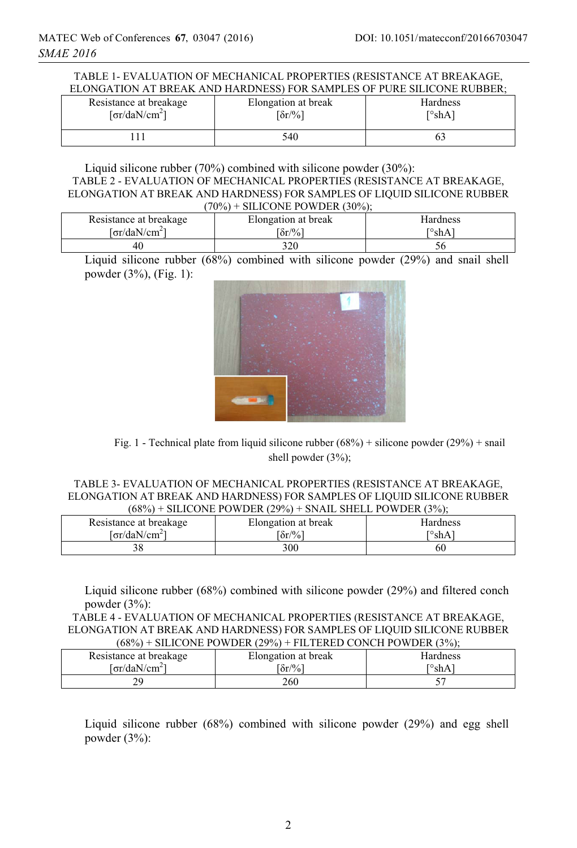|  | TABLE 1- EVALUATION OF MECHANICAL PROPERTIES (RESISTANCE AT BREAKAGE,  |
|--|------------------------------------------------------------------------|
|  | ELONGATION AT BREAK AND HARDNESS) FOR SAMPLES OF PURE SILICONE RUBBER; |

| Resistance at breakage             | Elongation at break           | Hardness    |
|------------------------------------|-------------------------------|-------------|
| [ $\sigma$ r/daN/cm <sup>2</sup> ] | $\lceil \delta r / \% \rceil$ | $\sim$ shA) |
|                                    | 540                           |             |

#### Liquid silicone rubber (70%) combined with silicone powder (30%): TABLE 2 - EVALUATION OF MECHANICAL PROPERTIES (RESISTANCE AT BREAKAGE, ELONGATION AT BREAK AND HARDNESS) FOR SAMPLES OF LIQUID SILICONE RUBBER  $(70\%)$  + SILICONE POWDER  $(30\%)$

| Resistance at breakage                     | $\text{SILICONEL I V WDER} \left( \text{JU} / \text{0} \right)$<br>Elongation at break | <b>Hardness</b> |
|--------------------------------------------|----------------------------------------------------------------------------------------|-----------------|
| $\lceil \sigma r / \text{daN/cm}^2 \rceil$ | $\delta r / \%$                                                                        | ™shA            |
| -46                                        | 320                                                                                    |                 |

Liquid silicone rubber (68%) combined with silicone powder (29%) and snail shell powder (3%), (Fig. 1):



Fig. 1 - Technical plate from liquid silicone rubber  $(68%)$  + silicone powder  $(29%)$  + snail shell powder (3%);

#### TABLE 3- EVALUATION OF MECHANICAL PROPERTIES (RESISTANCE AT BREAKAGE, ELONGATION AT BREAK AND HARDNESS) FOR SAMPLES OF LIQUID SILICONE RUBBER  $(68\%)$  + SILICONE POWDER  $(29\%)$  + SNAIL SHELL POWDER  $(3\%)$ ;

| Resistance at breakage                | Elongation at break | Hardness    |
|---------------------------------------|---------------------|-------------|
| <sup>[</sup> σr/daN/cm <sup>2</sup> ] | $\delta r / \%$     | $\sim$ shAi |
|                                       | 300                 | 60          |

Liquid silicone rubber (68%) combined with silicone powder (29%) and filtered conch powder (3%):

TABLE 4 - EVALUATION OF MECHANICAL PROPERTIES (RESISTANCE AT BREAKAGE, ELONGATION AT BREAK AND HARDNESS) FOR SAMPLES OF LIQUID SILICONE RUBBER  $(68\%)$  + SILICONE POWDER  $(29\%)$  + FILTERED CONCH POWDER  $(3\%)$ ;

| .                         |                     |          |
|---------------------------|---------------------|----------|
| Resistance at breakage    | Elongation at break | Hardness |
| [σr/daN/cm <sup>2</sup> ] | $\delta r / \%$     | ™shA     |
| າດ                        | 260                 |          |

Liquid silicone rubber (68%) combined with silicone powder (29%) and egg shell powder (3%):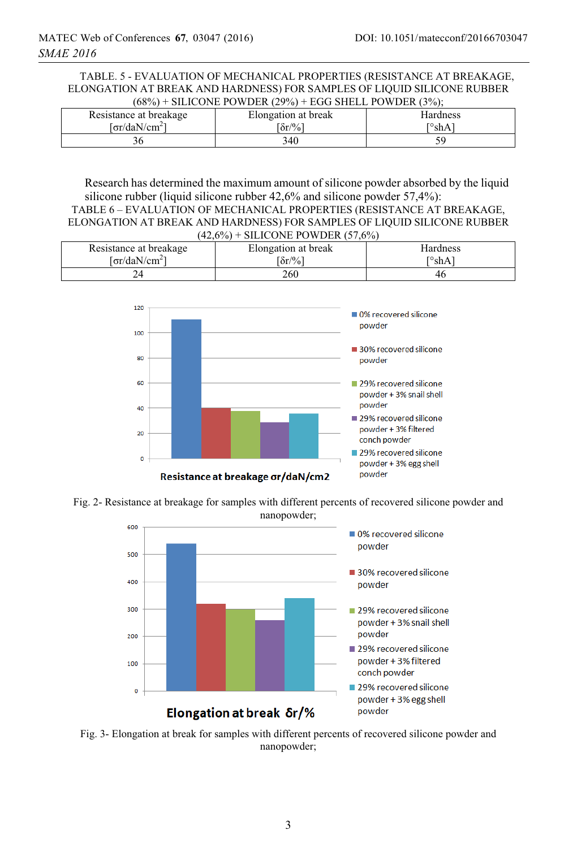ELONGATION AT BREAK AND HARDNESS) FOR SAMPLES OF LIQUID SILICONE RUBBER  $(68\%)$  + SILICONE POWDER  $(29\%)$  + EGG SHELL POWDER  $(3\%)$ TABLE. 5 - EVALUATION OF MECHANICAL PROPERTIES (RESISTANCE AT BREAKAGE,

| , , , , , ,               |                     |          |
|---------------------------|---------------------|----------|
| Resistance at breakage    | Elongation at break | Hardness |
| [σr/daN/cm <sup>2</sup> ] | $\delta r / \%$     | ™shAì    |
|                           | 340                 |          |

Research has determined the maximum amount of silicone powder absorbed by the liquid silicone rubber (liquid silicone rubber 42,6% and silicone powder 57,4%):

```
TABLE 6 – EVALUATION OF MECHANICAL PROPERTIES (RESISTANCE AT BREAKAGE, 
ELONGATION AT BREAK AND HARDNESS) FOR SAMPLES OF LIQUID SILICONE RUBBER 
                     (42,6%) + SILICONE POWDER (57,6%)
```

| Resistance at breakage    | Elongation at break | Hardness |
|---------------------------|---------------------|----------|
| Γσr/daN/cm <sup>2</sup> ] | $\delta r / \%$     | ™shA     |
|                           | 260                 | 46       |



Fig. 2- Resistance at breakage for samples with different percents of recovered silicone powder and nanopowder;



Fig. 3- Elongation at break for samples with different percents of recovered silicone powder and nanopowder;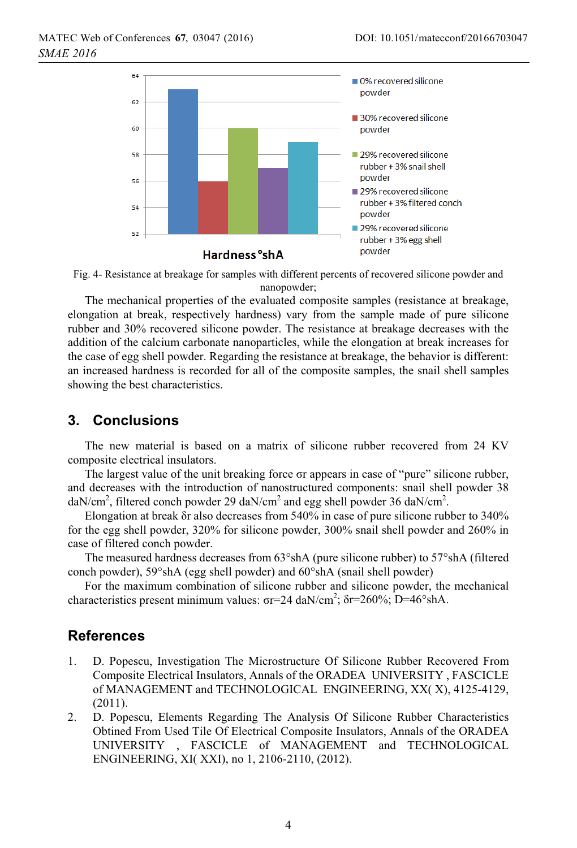



The mechanical properties of the evaluated composite samples (resistance at breakage, elongation at break, respectively hardness) vary from the sample made of pure silicone rubber and 30% recovered silicone powder. The resistance at breakage decreases with the addition of the calcium carbonate nanoparticles, while the elongation at break increases for the case of egg shell powder. Regarding the resistance at breakage, the behavior is different: an increased hardness is recorded for all of the composite samples, the snail shell samples showing the best characteristics.

# **3. Conclusions**

The new material is based on a matrix of silicone rubber recovered from 24 KV composite electrical insulators.

The largest value of the unit breaking force or appears in case of "pure" silicone rubber, and decreases with the introduction of nanostructured components: snail shell powder 38 daN/cm<sup>2</sup>, filtered conch powder 29 daN/cm<sup>2</sup> and egg shell powder 36 daN/cm<sup>2</sup>.

Elongation at break  $\delta r$  also decreases from 540% in case of pure silicone rubber to 340% for the egg shell powder, 320% for silicone powder, 300% snail shell powder and 260% in case of filtered conch powder.

The measured hardness decreases from 63°shA (pure silicone rubber) to 57°shA (filtered conch powder), 59°shA (egg shell powder) and 60°shA (snail shell powder)

For the maximum combination of silicone rubber and silicone powder, the mechanical characteristics present minimum values:  $\sigma$ r=24 daN/cm<sup>2</sup>;  $\delta$ r=260%; D=46°shA.

### **References**

- 1. D. Popescu, Investigation The Microstructure Of Silicone Rubber Recovered From Composite Electrical Insulators, Annals of the ORADEA UNIVERSITY , FASCICLE of MANAGEMENT and TECHNOLOGICAL ENGINEERING, XX( X), 4125-4129, (2011).
- 2. D. Popescu, Elements Regarding The Analysis Of Silicone Rubber Characteristics Obtined From Used Tile Of Electrical Composite Insulators, Annals of the ORADEA UNIVERSITY , FASCICLE of MANAGEMENT and TECHNOLOGICAL ENGINEERING, XI( XXI), no 1, 2106-2110, (2012).